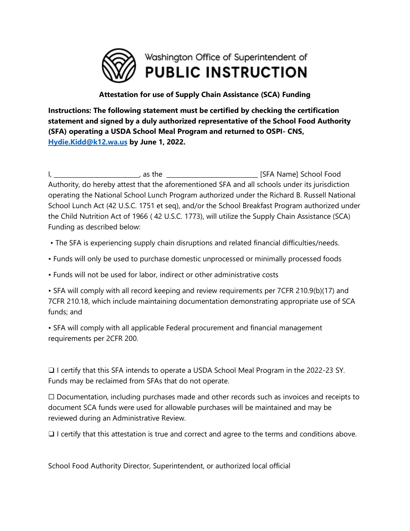

## **Attestation for use of Supply Chain Assistance (SCA) Funding**

**Instructions: The following statement must be certified by checking the certification statement and signed by a duly authorized representative of the School Food Authority (SFA) operating a USDA School Meal Program and returned to OSPI- CNS, [Hydie.Kidd@k12.wa.us](mailto:Hydie.Kidd@k12.wa.us) by June 1, 2022.** 

I, the contract of the set of the set of the set of the set of the set of the set of the set of the set of the set of the set of the set of the set of the set of the set of the set of the set of the set of the set of the s Authority, do hereby attest that the aforementioned SFA and all schools under its jurisdiction operating the National School Lunch Program authorized under the Richard B. Russell National School Lunch Act (42 U.S.C. 1751 et seq), and/or the School Breakfast Program authorized under the Child Nutrition Act of 1966 ( 42 U.S.C. 1773), will utilize the Supply Chain Assistance (SCA) Funding as described below:

- The SFA is experiencing supply chain disruptions and related financial difficulties/needs.
- Funds will only be used to purchase domestic unprocessed or minimally processed foods
- Funds will not be used for labor, indirect or other administrative costs

• SFA will comply with all record keeping and review requirements per 7CFR 210.9(b)(17) and 7CFR 210.18, which include maintaining documentation demonstrating appropriate use of SCA funds; and

• SFA will comply with all applicable Federal procurement and financial management requirements per 2CFR 200.

❑ I certify that this SFA intends to operate a USDA School Meal Program in the 2022-23 SY. Funds may be reclaimed from SFAs that do not operate.

 $\Box$  Documentation, including purchases made and other records such as invoices and receipts to document SCA funds were used for allowable purchases will be maintained and may be reviewed during an Administrative Review.

 $\Box$  I certify that this attestation is true and correct and agree to the terms and conditions above.

School Food Authority Director, Superintendent, or authorized local official